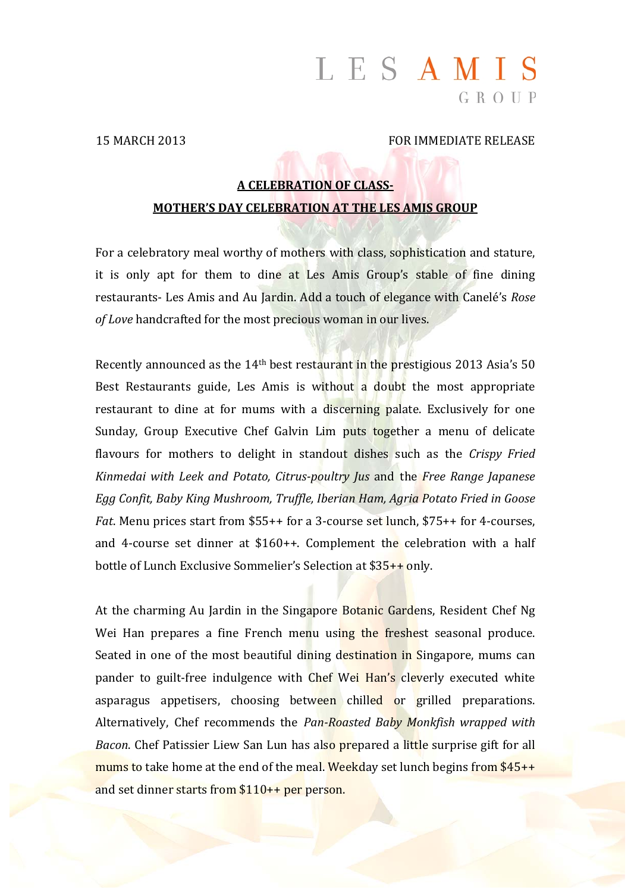# LESAMIS  $G R O U P$

#### 15 MARCH 2013 FOR IMMEDIATE RELEASE

# **A CELEBRATION OF CLASS‐ MOTHER'S DAY CELEBRATION AT THE LES AMIS GROUP**

For a celebratory meal worthy of mothers with class, sophistication and stature, it is only apt for them to dine at Les Amis Group's stable of fine dining restaurants- Les Amis and Au Jardin. Add a touch of elegance with Canelé's *Rose* of *Love* handcrafted for the most precious woman in our lives.

Recently announced as the  $14<sup>th</sup>$  best restaurant in the prestigious 2013 Asia's 50 Best Restaurants guide, Les Amis is without a doubt the most appropriate restaurant to dine at for mums with a discerning palate. Exclusively for one Sunday, Group Executive Chef Galvin Lim puts together a menu of delicate flavours for mothers to delight in standout dishes such as the *Crispy Fried Kinmedai with Leek and Potato, Citrus‐poultry Jus* and the *Free Range Japanese Egg Confit, Baby King Mushroom, Truffle, Iberian Ham, Agria Potato Fried in Goose Fat.* Menu prices start from \$55++ for a 3-course set lunch, \$75++ for 4-courses, and 4-course set dinner at  $$160++$ . Complement the celebration with a half bottle of Lunch Exclusive Sommelier's Selection at  $$35++$  only.

At the charming Au Jardin in the Singapore Botanic Gardens, Resident Chef Ng Wei Han prepares a fine French menu using the freshest seasonal produce. Seated in one of the most beautiful dining destination in Singapore, mums can pander to guilt-free indulgence with Chef Wei Han's cleverly executed white asparagus appetisers, choosing between chilled or grilled preparations. Alternatively, Chef recommends the *Pan‐Roasted Baby Monkfish wrapped with Bacon*. Chef Patissier Liew San Lun has also prepared a little surprise gift for all mums to take home at the end of the meal. Weekday set lunch begins from  $$45++$ and set dinner starts from  $$110++$  per person.